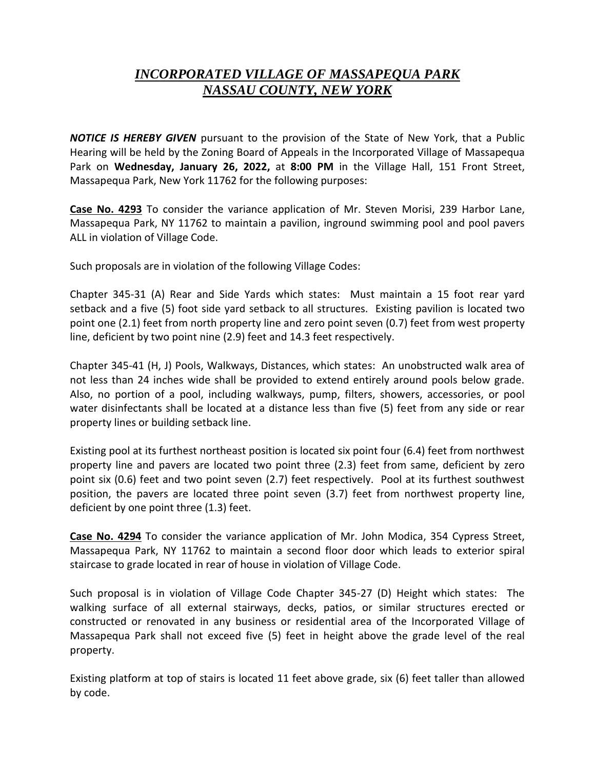## *INCORPORATED VILLAGE OF MASSAPEQUA PARK NASSAU COUNTY, NEW YORK*

*NOTICE IS HEREBY GIVEN* pursuant to the provision of the State of New York, that a Public Hearing will be held by the Zoning Board of Appeals in the Incorporated Village of Massapequa Park on **Wednesday, January 26, 2022,** at **8:00 PM** in the Village Hall, 151 Front Street, Massapequa Park, New York 11762 for the following purposes:

**Case No. 4293** To consider the variance application of Mr. Steven Morisi, 239 Harbor Lane, Massapequa Park, NY 11762 to maintain a pavilion, inground swimming pool and pool pavers ALL in violation of Village Code.

Such proposals are in violation of the following Village Codes:

Chapter 345-31 (A) Rear and Side Yards which states: Must maintain a 15 foot rear yard setback and a five (5) foot side yard setback to all structures. Existing pavilion is located two point one (2.1) feet from north property line and zero point seven (0.7) feet from west property line, deficient by two point nine (2.9) feet and 14.3 feet respectively.

Chapter 345-41 (H, J) Pools, Walkways, Distances, which states: An unobstructed walk area of not less than 24 inches wide shall be provided to extend entirely around pools below grade. Also, no portion of a pool, including walkways, pump, filters, showers, accessories, or pool water disinfectants shall be located at a distance less than five (5) feet from any side or rear property lines or building setback line.

Existing pool at its furthest northeast position is located six point four (6.4) feet from northwest property line and pavers are located two point three (2.3) feet from same, deficient by zero point six (0.6) feet and two point seven (2.7) feet respectively. Pool at its furthest southwest position, the pavers are located three point seven (3.7) feet from northwest property line, deficient by one point three (1.3) feet.

**Case No. 4294** To consider the variance application of Mr. John Modica, 354 Cypress Street, Massapequa Park, NY 11762 to maintain a second floor door which leads to exterior spiral staircase to grade located in rear of house in violation of Village Code.

Such proposal is in violation of Village Code Chapter 345-27 (D) Height which states: The walking surface of all external stairways, decks, patios, or similar structures erected or constructed or renovated in any business or residential area of the Incorporated Village of Massapequa Park shall not exceed five (5) feet in height above the grade level of the real property.

Existing platform at top of stairs is located 11 feet above grade, six (6) feet taller than allowed by code.